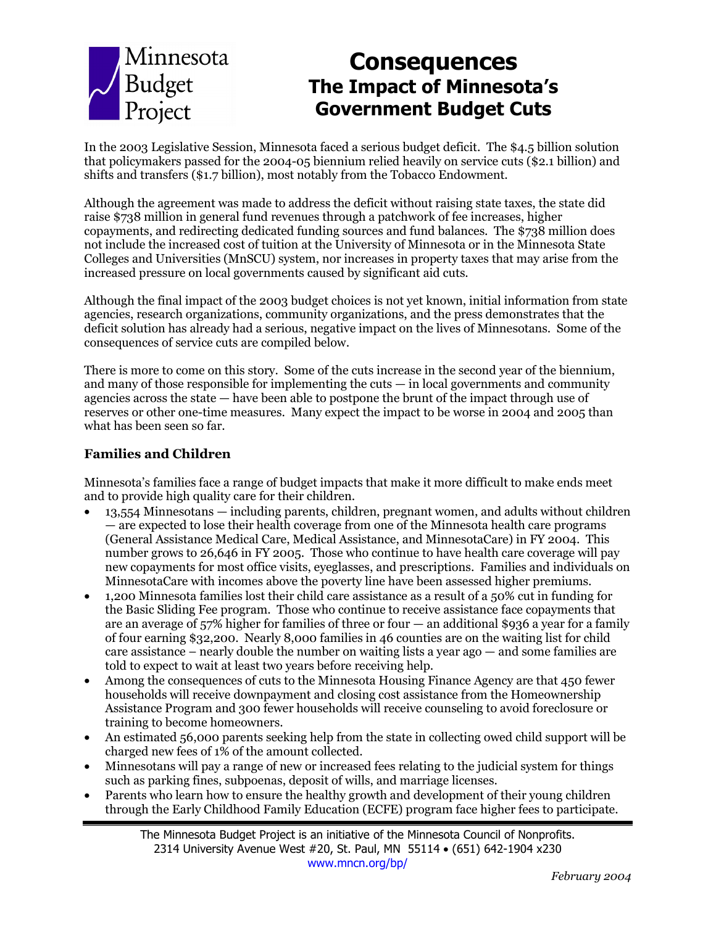

# **Consequences The Impact of Minnesotaís Government Budget Cuts**

In the 2003 Legislative Session, Minnesota faced a serious budget deficit. The \$4.5 billion solution that policymakers passed for the 2004-05 biennium relied heavily on service cuts (\$2.1 billion) and shifts and transfers (\$1.7 billion), most notably from the Tobacco Endowment.

Although the agreement was made to address the deficit without raising state taxes, the state did raise \$738 million in general fund revenues through a patchwork of fee increases, higher copayments, and redirecting dedicated funding sources and fund balances. The \$738 million does not include the increased cost of tuition at the University of Minnesota or in the Minnesota State Colleges and Universities (MnSCU) system, nor increases in property taxes that may arise from the increased pressure on local governments caused by significant aid cuts.

Although the final impact of the 2003 budget choices is not yet known, initial information from state agencies, research organizations, community organizations, and the press demonstrates that the deficit solution has already had a serious, negative impact on the lives of Minnesotans. Some of the consequences of service cuts are compiled below.

There is more to come on this story. Some of the cuts increase in the second year of the biennium, and many of those responsible for implementing the cuts  $-$  in local governments and community agencies across the state  $-$  have been able to postpone the brunt of the impact through use of reserves or other one-time measures. Many expect the impact to be worse in 2004 and 2005 than what has been seen so far.

#### **Families and Children**

Minnesotaís families face a range of budget impacts that make it more difficult to make ends meet and to provide high quality care for their children.

- $13,554$  Minnesotans  $-$  including parents, children, pregnant women, and adults without children  $\sim$  are expected to lose their health coverage from one of the Minnesota health care programs (General Assistance Medical Care, Medical Assistance, and MinnesotaCare) in FY 2004. This number grows to 26,646 in FY 2005. Those who continue to have health care coverage will pay new copayments for most office visits, eyeglasses, and prescriptions. Families and individuals on MinnesotaCare with incomes above the poverty line have been assessed higher premiums.
- 1,200 Minnesota families lost their child care assistance as a result of a 50% cut in funding for the Basic Sliding Fee program. Those who continue to receive assistance face copayments that are an average of  $57\%$  higher for families of three or four  $-$  an additional \$936 a year for a family of four earning \$32,200. Nearly 8,000 families in 46 counties are on the waiting list for child care assistance  $-$  nearly double the number on waiting lists a year ago  $-$  and some families are told to expect to wait at least two years before receiving help.
- Among the consequences of cuts to the Minnesota Housing Finance Agency are that 450 fewer households will receive downpayment and closing cost assistance from the Homeownership Assistance Program and 300 fewer households will receive counseling to avoid foreclosure or training to become homeowners.
- An estimated 56,000 parents seeking help from the state in collecting owed child support will be charged new fees of 1% of the amount collected.
- Minnesotans will pay a range of new or increased fees relating to the judicial system for things such as parking fines, subpoenas, deposit of wills, and marriage licenses.
- Parents who learn how to ensure the healthy growth and development of their young children through the Early Childhood Family Education (ECFE) program face higher fees to participate.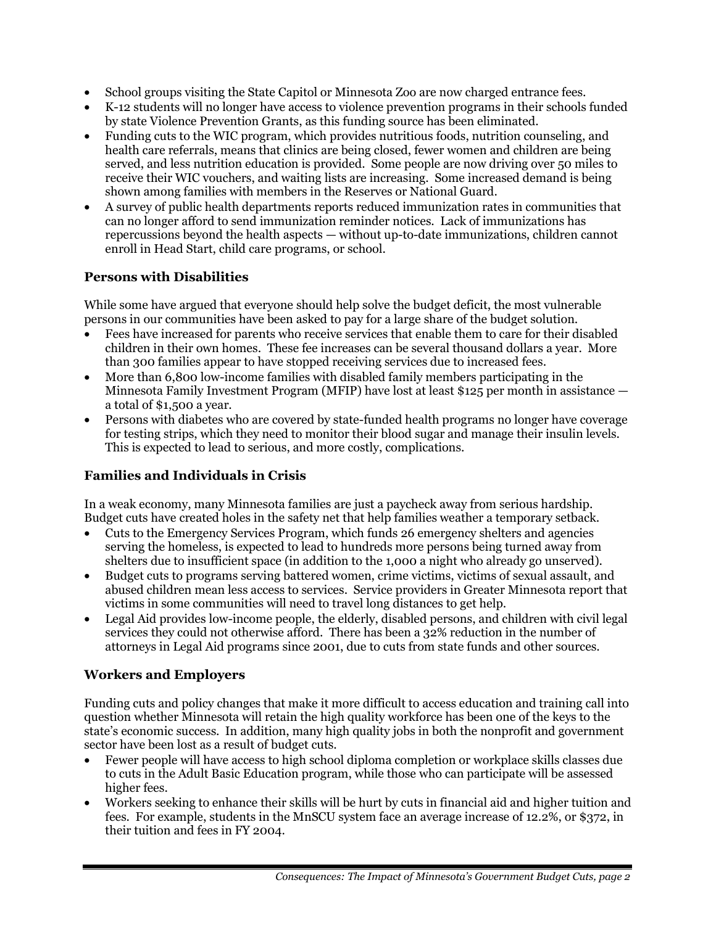- School groups visiting the State Capitol or Minnesota Zoo are now charged entrance fees.
- K-12 students will no longer have access to violence prevention programs in their schools funded by state Violence Prevention Grants, as this funding source has been eliminated.
- Funding cuts to the WIC program, which provides nutritious foods, nutrition counseling, and health care referrals, means that clinics are being closed, fewer women and children are being served, and less nutrition education is provided. Some people are now driving over 50 miles to receive their WIC vouchers, and waiting lists are increasing. Some increased demand is being shown among families with members in the Reserves or National Guard.
- A survey of public health departments reports reduced immunization rates in communities that can no longer afford to send immunization reminder notices. Lack of immunizations has repercussions beyond the health aspects — without up-to-date immunizations, children cannot enroll in Head Start, child care programs, or school.

# **Persons with Disabilities**

While some have argued that everyone should help solve the budget deficit, the most vulnerable persons in our communities have been asked to pay for a large share of the budget solution.

- Fees have increased for parents who receive services that enable them to care for their disabled children in their own homes. These fee increases can be several thousand dollars a year. More than 300 families appear to have stopped receiving services due to increased fees.
- More than 6,800 low-income families with disabled family members participating in the Minnesota Family Investment Program (MFIP) have lost at least \$125 per month in assistance  $\overline{\phantom{a}}$ a total of \$1,500 a year.
- Persons with diabetes who are covered by state-funded health programs no longer have coverage for testing strips, which they need to monitor their blood sugar and manage their insulin levels. This is expected to lead to serious, and more costly, complications.

# **Families and Individuals in Crisis**

In a weak economy, many Minnesota families are just a paycheck away from serious hardship. Budget cuts have created holes in the safety net that help families weather a temporary setback.

- Cuts to the Emergency Services Program, which funds 26 emergency shelters and agencies serving the homeless, is expected to lead to hundreds more persons being turned away from shelters due to insufficient space (in addition to the 1,000 a night who already go unserved).
- Budget cuts to programs serving battered women, crime victims, victims of sexual assault, and abused children mean less access to services. Service providers in Greater Minnesota report that victims in some communities will need to travel long distances to get help.
- Legal Aid provides low-income people, the elderly, disabled persons, and children with civil legal services they could not otherwise afford. There has been a 32% reduction in the number of attorneys in Legal Aid programs since 2001, due to cuts from state funds and other sources.

# **Workers and Employers**

Funding cuts and policy changes that make it more difficult to access education and training call into question whether Minnesota will retain the high quality workforce has been one of the keys to the state's economic success. In addition, many high quality jobs in both the nonprofit and government sector have been lost as a result of budget cuts.

- Fewer people will have access to high school diploma completion or workplace skills classes due to cuts in the Adult Basic Education program, while those who can participate will be assessed higher fees.
- Workers seeking to enhance their skills will be hurt by cuts in financial aid and higher tuition and fees. For example, students in the MnSCU system face an average increase of 12.2%, or \$372, in their tuition and fees in FY 2004.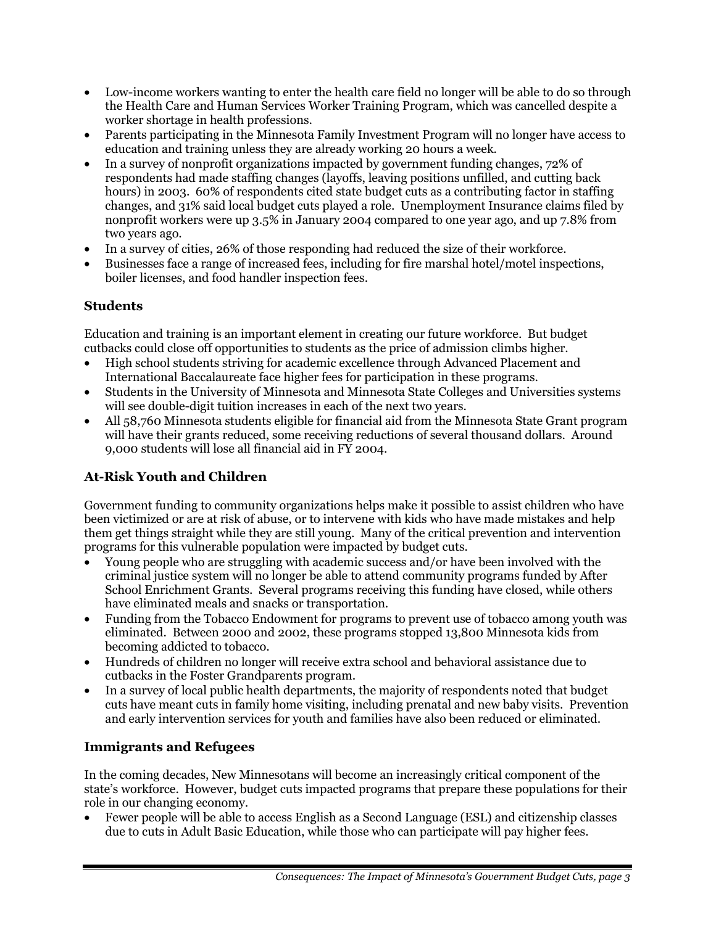- Low-income workers wanting to enter the health care field no longer will be able to do so through the Health Care and Human Services Worker Training Program, which was cancelled despite a worker shortage in health professions.
- Parents participating in the Minnesota Family Investment Program will no longer have access to education and training unless they are already working 20 hours a week.
- In a survey of nonprofit organizations impacted by government funding changes, 72% of respondents had made staffing changes (layoffs, leaving positions unfilled, and cutting back hours) in 2003. 60% of respondents cited state budget cuts as a contributing factor in staffing changes, and 31% said local budget cuts played a role. Unemployment Insurance claims filed by nonprofit workers were up 3.5% in January 2004 compared to one year ago, and up 7.8% from two years ago.
- In a survey of cities, 26% of those responding had reduced the size of their workforce.
- Businesses face a range of increased fees, including for fire marshal hotel/motel inspections, boiler licenses, and food handler inspection fees.

# **Students**

Education and training is an important element in creating our future workforce. But budget cutbacks could close off opportunities to students as the price of admission climbs higher.

- High school students striving for academic excellence through Advanced Placement and International Baccalaureate face higher fees for participation in these programs.
- Students in the University of Minnesota and Minnesota State Colleges and Universities systems will see double-digit tuition increases in each of the next two years.
- All 58,760 Minnesota students eligible for financial aid from the Minnesota State Grant program will have their grants reduced, some receiving reductions of several thousand dollars. Around 9,000 students will lose all financial aid in FY 2004.

# **At-Risk Youth and Children**

Government funding to community organizations helps make it possible to assist children who have been victimized or are at risk of abuse, or to intervene with kids who have made mistakes and help them get things straight while they are still young. Many of the critical prevention and intervention programs for this vulnerable population were impacted by budget cuts.

- Young people who are struggling with academic success and/or have been involved with the criminal justice system will no longer be able to attend community programs funded by After School Enrichment Grants. Several programs receiving this funding have closed, while others have eliminated meals and snacks or transportation.
- Funding from the Tobacco Endowment for programs to prevent use of tobacco among youth was eliminated. Between 2000 and 2002, these programs stopped 13,800 Minnesota kids from becoming addicted to tobacco.
- Hundreds of children no longer will receive extra school and behavioral assistance due to cutbacks in the Foster Grandparents program.
- In a survey of local public health departments, the majority of respondents noted that budget cuts have meant cuts in family home visiting, including prenatal and new baby visits. Prevention and early intervention services for youth and families have also been reduced or eliminated.

# **Immigrants and Refugees**

In the coming decades, New Minnesotans will become an increasingly critical component of the stateís workforce. However, budget cuts impacted programs that prepare these populations for their role in our changing economy.

• Fewer people will be able to access English as a Second Language (ESL) and citizenship classes due to cuts in Adult Basic Education, while those who can participate will pay higher fees.